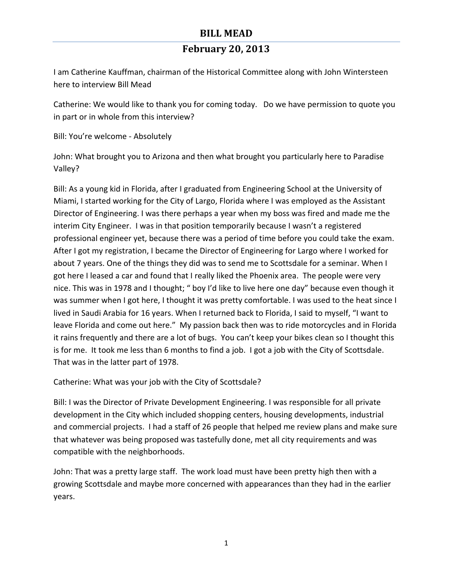I am Catherine Kauffman, chairman of the Historical Committee along with John Wintersteen here to interview Bill Mead

Catherine: We would like to thank you for coming today. Do we have permission to quote you in part or in whole from this interview?

Bill: You're welcome - Absolutely

John: What brought you to Arizona and then what brought you particularly here to Paradise Valley? 

Bill: As a young kid in Florida, after I graduated from Engineering School at the University of Miami, I started working for the City of Largo, Florida where I was employed as the Assistant Director of Engineering. I was there perhaps a year when my boss was fired and made me the interim City Engineer. I was in that position temporarily because I wasn't a registered professional engineer yet, because there was a period of time before you could take the exam. After I got my registration, I became the Director of Engineering for Largo where I worked for about 7 years. One of the things they did was to send me to Scottsdale for a seminar. When I got here I leased a car and found that I really liked the Phoenix area. The people were very nice. This was in 1978 and I thought; " boy I'd like to live here one day" because even though it was summer when I got here, I thought it was pretty comfortable. I was used to the heat since I lived in Saudi Arabia for 16 years. When I returned back to Florida, I said to myself, "I want to leave Florida and come out here." My passion back then was to ride motorcycles and in Florida it rains frequently and there are a lot of bugs. You can't keep your bikes clean so I thought this is for me. It took me less than 6 months to find a job. I got a job with the City of Scottsdale. That was in the latter part of 1978.

Catherine: What was your job with the City of Scottsdale?

Bill: I was the Director of Private Development Engineering. I was responsible for all private development in the City which included shopping centers, housing developments, industrial and commercial projects. I had a staff of 26 people that helped me review plans and make sure that whatever was being proposed was tastefully done, met all city requirements and was compatible with the neighborhoods.

John: That was a pretty large staff. The work load must have been pretty high then with a growing Scottsdale and maybe more concerned with appearances than they had in the earlier years.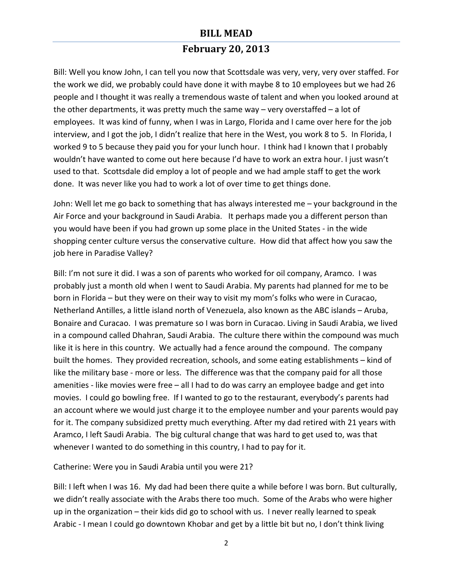## **February 20, 2013**

Bill: Well you know John, I can tell you now that Scottsdale was very, very, very over staffed. For the work we did, we probably could have done it with maybe 8 to 10 employees but we had 26 people and I thought it was really a tremendous waste of talent and when you looked around at the other departments, it was pretty much the same way  $-$  very overstaffed  $-$  a lot of employees. It was kind of funny, when I was in Largo, Florida and I came over here for the job interview, and I got the job, I didn't realize that here in the West, you work 8 to 5. In Florida, I worked 9 to 5 because they paid you for your lunch hour. I think had I known that I probably wouldn't have wanted to come out here because I'd have to work an extra hour. I just wasn't used to that. Scottsdale did employ a lot of people and we had ample staff to get the work done. It was never like you had to work a lot of over time to get things done.

John: Well let me go back to something that has always interested me – your background in the Air Force and your background in Saudi Arabia. It perhaps made you a different person than you would have been if you had grown up some place in the United States - in the wide shopping center culture versus the conservative culture. How did that affect how you saw the job here in Paradise Valley?

Bill: I'm not sure it did. I was a son of parents who worked for oil company, Aramco. I was probably just a month old when I went to Saudi Arabia. My parents had planned for me to be born in Florida – but they were on their way to visit my mom's folks who were in Curacao, Netherland Antilles, a little island north of Venezuela, also known as the ABC islands - Aruba, Bonaire and Curacao. I was premature so I was born in Curacao. Living in Saudi Arabia, we lived in a compound called Dhahran, Saudi Arabia. The culture there within the compound was much like it is here in this country. We actually had a fence around the compound. The company built the homes. They provided recreation, schools, and some eating establishments – kind of like the military base - more or less. The difference was that the company paid for all those amenities - like movies were free  $-$  all I had to do was carry an employee badge and get into movies. I could go bowling free. If I wanted to go to the restaurant, everybody's parents had an account where we would just charge it to the employee number and your parents would pay for it. The company subsidized pretty much everything. After my dad retired with 21 years with Aramco, I left Saudi Arabia. The big cultural change that was hard to get used to, was that whenever I wanted to do something in this country, I had to pay for it.

#### Catherine: Were you in Saudi Arabia until you were 21?

Bill: I left when I was 16. My dad had been there quite a while before I was born. But culturally, we didn't really associate with the Arabs there too much. Some of the Arabs who were higher up in the organization  $-$  their kids did go to school with us. I never really learned to speak Arabic - I mean I could go downtown Khobar and get by a little bit but no, I don't think living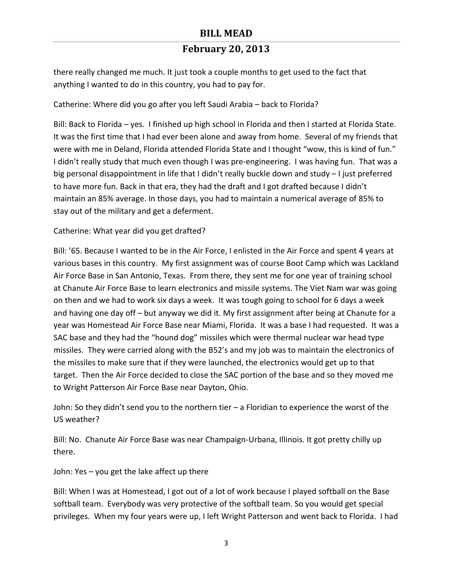there really changed me much. It just took a couple months to get used to the fact that anything I wanted to do in this country, you had to pay for.

#### Catherine: Where did you go after you left Saudi Arabia – back to Florida?

Bill: Back to Florida – yes. I finished up high school in Florida and then I started at Florida State. It was the first time that I had ever been alone and away from home. Several of my friends that were with me in Deland, Florida attended Florida State and I thought "wow, this is kind of fun." I didn't really study that much even though I was pre-engineering. I was having fun. That was a big personal disappointment in life that I didn't really buckle down and study - I just preferred to have more fun. Back in that era, they had the draft and I got drafted because I didn't maintain an 85% average. In those days, you had to maintain a numerical average of 85% to stay out of the military and get a deferment.

#### Catherine: What year did you get drafted?

Bill: '65. Because I wanted to be in the Air Force, I enlisted in the Air Force and spent 4 years at various bases in this country. My first assignment was of course Boot Camp which was Lackland Air Force Base in San Antonio, Texas. From there, they sent me for one year of training school at Chanute Air Force Base to learn electronics and missile systems. The Viet Nam war was going on then and we had to work six days a week. It was tough going to school for 6 days a week and having one day off  $-$  but anyway we did it. My first assignment after being at Chanute for a year was Homestead Air Force Base near Miami, Florida. It was a base I had requested. It was a SAC base and they had the "hound dog" missiles which were thermal nuclear war head type missiles. They were carried along with the B52's and my job was to maintain the electronics of the missiles to make sure that if they were launched, the electronics would get up to that target. Then the Air Force decided to close the SAC portion of the base and so they moved me to Wright Patterson Air Force Base near Dayton, Ohio.

John: So they didn't send you to the northern tier  $-$  a Floridian to experience the worst of the US weather?

Bill: No. Chanute Air Force Base was near Champaign-Urbana, Illinois. It got pretty chilly up there.

John: Yes  $-$  you get the lake affect up there

Bill: When I was at Homestead, I got out of a lot of work because I played softball on the Base softball team. Everybody was very protective of the softball team. So you would get special privileges. When my four years were up, I left Wright Patterson and went back to Florida. I had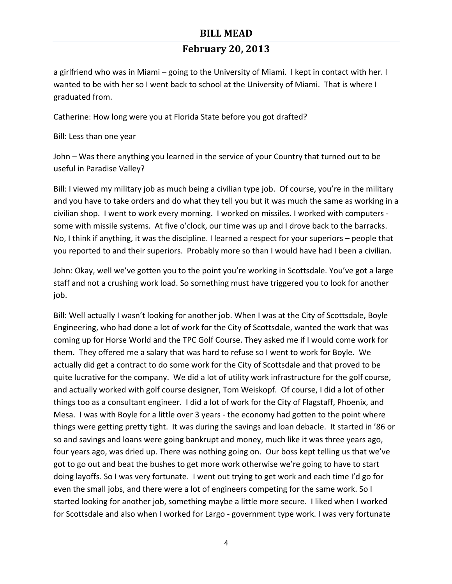## **February 20, 2013**

a girlfriend who was in Miami – going to the University of Miami. I kept in contact with her. I wanted to be with her so I went back to school at the University of Miami. That is where I graduated from.

Catherine: How long were you at Florida State before you got drafted?

Bill: Less than one year

John – Was there anything you learned in the service of your Country that turned out to be useful in Paradise Valley?

Bill: I viewed my military job as much being a civilian type job. Of course, you're in the military and you have to take orders and do what they tell you but it was much the same as working in a civilian shop. I went to work every morning. I worked on missiles. I worked with computers some with missile systems. At five o'clock, our time was up and I drove back to the barracks. No, I think if anything, it was the discipline. I learned a respect for your superiors – people that you reported to and their superiors. Probably more so than I would have had I been a civilian.

John: Okay, well we've gotten you to the point you're working in Scottsdale. You've got a large staff and not a crushing work load. So something must have triggered you to look for another job. 

Bill: Well actually I wasn't looking for another job. When I was at the City of Scottsdale, Boyle Engineering, who had done a lot of work for the City of Scottsdale, wanted the work that was coming up for Horse World and the TPC Golf Course. They asked me if I would come work for them. They offered me a salary that was hard to refuse so I went to work for Boyle. We actually did get a contract to do some work for the City of Scottsdale and that proved to be quite lucrative for the company. We did a lot of utility work infrastructure for the golf course, and actually worked with golf course designer, Tom Weiskopf. Of course, I did a lot of other things too as a consultant engineer. I did a lot of work for the City of Flagstaff, Phoenix, and Mesa. I was with Boyle for a little over 3 years - the economy had gotten to the point where things were getting pretty tight. It was during the savings and loan debacle. It started in '86 or so and savings and loans were going bankrupt and money, much like it was three years ago, four years ago, was dried up. There was nothing going on. Our boss kept telling us that we've got to go out and beat the bushes to get more work otherwise we're going to have to start doing layoffs. So I was very fortunate. I went out trying to get work and each time I'd go for even the small jobs, and there were a lot of engineers competing for the same work. So I started looking for another job, something maybe a little more secure. I liked when I worked for Scottsdale and also when I worked for Largo - government type work. I was very fortunate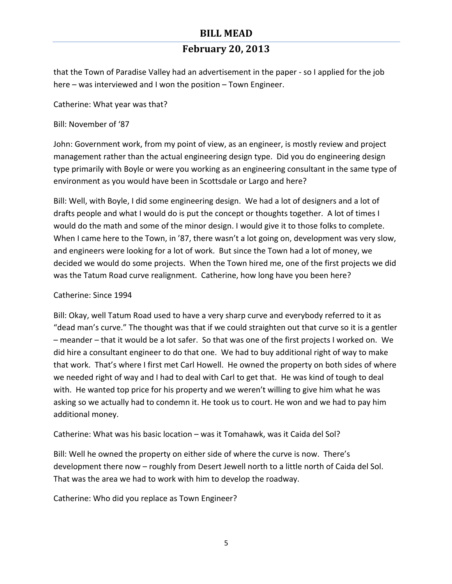that the Town of Paradise Valley had an advertisement in the paper - so I applied for the job here – was interviewed and I won the position – Town Engineer.

Catherine: What year was that?

Bill: November of '87

John: Government work, from my point of view, as an engineer, is mostly review and project management rather than the actual engineering design type. Did you do engineering design type primarily with Boyle or were you working as an engineering consultant in the same type of environment as you would have been in Scottsdale or Largo and here?

Bill: Well, with Boyle, I did some engineering design. We had a lot of designers and a lot of drafts people and what I would do is put the concept or thoughts together. A lot of times I would do the math and some of the minor design. I would give it to those folks to complete. When I came here to the Town, in '87, there wasn't a lot going on, development was very slow, and engineers were looking for a lot of work. But since the Town had a lot of money, we decided we would do some projects. When the Town hired me, one of the first projects we did was the Tatum Road curve realignment. Catherine, how long have you been here?

#### Catherine: Since 1994

Bill: Okay, well Tatum Road used to have a very sharp curve and everybody referred to it as "dead man's curve." The thought was that if we could straighten out that curve so it is a gentler  $-$  meander – that it would be a lot safer. So that was one of the first projects I worked on. We did hire a consultant engineer to do that one. We had to buy additional right of way to make that work. That's where I first met Carl Howell. He owned the property on both sides of where we needed right of way and I had to deal with Carl to get that. He was kind of tough to deal with. He wanted top price for his property and we weren't willing to give him what he was asking so we actually had to condemn it. He took us to court. He won and we had to pay him additional money.

Catherine: What was his basic location – was it Tomahawk, was it Caida del Sol?

Bill: Well he owned the property on either side of where the curve is now. There's development there now – roughly from Desert Jewell north to a little north of Caida del Sol. That was the area we had to work with him to develop the roadway.

Catherine: Who did you replace as Town Engineer?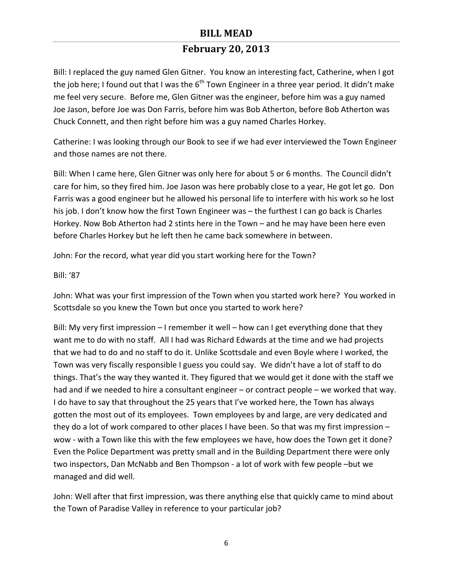# **February 20, 2013**

Bill: I replaced the guy named Glen Gitner. You know an interesting fact, Catherine, when I got the job here; I found out that I was the  $6<sup>th</sup>$  Town Engineer in a three year period. It didn't make me feel very secure. Before me, Glen Gitner was the engineer, before him was a guy named Joe Jason, before Joe was Don Farris, before him was Bob Atherton, before Bob Atherton was Chuck Connett, and then right before him was a guy named Charles Horkey.

Catherine: I was looking through our Book to see if we had ever interviewed the Town Engineer and those names are not there.

Bill: When I came here, Glen Gitner was only here for about 5 or 6 months. The Council didn't care for him, so they fired him. Joe Jason was here probably close to a year, He got let go. Don Farris was a good engineer but he allowed his personal life to interfere with his work so he lost his job. I don't know how the first Town Engineer was  $-$  the furthest I can go back is Charles Horkey. Now Bob Atherton had 2 stints here in the Town  $-$  and he may have been here even before Charles Horkey but he left then he came back somewhere in between.

John: For the record, what year did you start working here for the Town?

#### Bill: '87

John: What was your first impression of the Town when you started work here? You worked in Scottsdale so you knew the Town but once you started to work here?

Bill: My very first impression  $-1$  remember it well  $-$  how can I get everything done that they want me to do with no staff. All I had was Richard Edwards at the time and we had projects that we had to do and no staff to do it. Unlike Scottsdale and even Boyle where I worked, the Town was very fiscally responsible I guess you could say. We didn't have a lot of staff to do things. That's the way they wanted it. They figured that we would get it done with the staff we had and if we needed to hire a consultant engineer – or contract people – we worked that way. I do have to say that throughout the 25 years that I've worked here, the Town has always gotten the most out of its employees. Town employees by and large, are very dedicated and they do a lot of work compared to other places I have been. So that was my first impression  $$ wow - with a Town like this with the few employees we have, how does the Town get it done? Even the Police Department was pretty small and in the Building Department there were only two inspectors, Dan McNabb and Ben Thompson - a lot of work with few people -but we managed and did well.

John: Well after that first impression, was there anything else that quickly came to mind about the Town of Paradise Valley in reference to your particular job?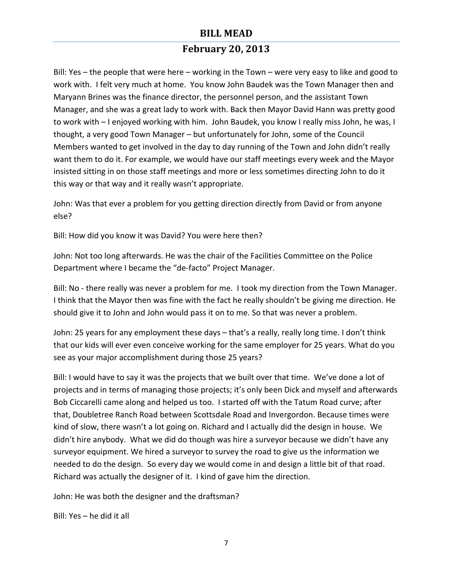# **February 20, 2013**

Bill: Yes – the people that were here – working in the Town – were very easy to like and good to work with. I felt very much at home. You know John Baudek was the Town Manager then and Maryann Brines was the finance director, the personnel person, and the assistant Town Manager, and she was a great lady to work with. Back then Mayor David Hann was pretty good to work with - I enjoyed working with him. John Baudek, you know I really miss John, he was, I thought, a very good Town Manager – but unfortunately for John, some of the Council Members wanted to get involved in the day to day running of the Town and John didn't really want them to do it. For example, we would have our staff meetings every week and the Mayor insisted sitting in on those staff meetings and more or less sometimes directing John to do it this way or that way and it really wasn't appropriate.

John: Was that ever a problem for you getting direction directly from David or from anyone else?

Bill: How did you know it was David? You were here then?

John: Not too long afterwards. He was the chair of the Facilities Committee on the Police Department where I became the "de-facto" Project Manager.

Bill: No - there really was never a problem for me. I took my direction from the Town Manager. I think that the Mayor then was fine with the fact he really shouldn't be giving me direction. He should give it to John and John would pass it on to me. So that was never a problem.

John: 25 years for any employment these days – that's a really, really long time. I don't think that our kids will ever even conceive working for the same employer for 25 years. What do you see as your major accomplishment during those 25 years?

Bill: I would have to say it was the projects that we built over that time. We've done a lot of projects and in terms of managing those projects; it's only been Dick and myself and afterwards Bob Ciccarelli came along and helped us too. I started off with the Tatum Road curve; after that, Doubletree Ranch Road between Scottsdale Road and Invergordon. Because times were kind of slow, there wasn't a lot going on. Richard and I actually did the design in house. We didn't hire anybody. What we did do though was hire a surveyor because we didn't have any surveyor equipment. We hired a surveyor to survey the road to give us the information we needed to do the design. So every day we would come in and design a little bit of that road. Richard was actually the designer of it. I kind of gave him the direction.

John: He was both the designer and the draftsman?

Bill:  $Yes - he$  did it all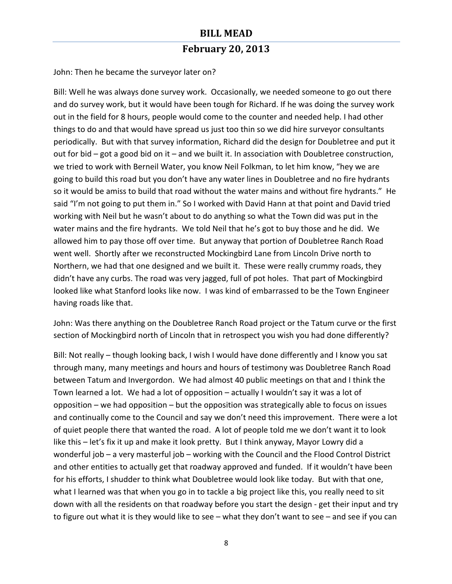John: Then he became the surveyor later on?

Bill: Well he was always done survey work. Occasionally, we needed someone to go out there and do survey work, but it would have been tough for Richard. If he was doing the survey work out in the field for 8 hours, people would come to the counter and needed help. I had other things to do and that would have spread us just too thin so we did hire surveyor consultants periodically. But with that survey information, Richard did the design for Doubletree and put it out for bid – got a good bid on it – and we built it. In association with Doubletree construction, we tried to work with Berneil Water, you know Neil Folkman, to let him know, "hey we are going to build this road but you don't have any water lines in Doubletree and no fire hydrants so it would be amiss to build that road without the water mains and without fire hydrants." He said "I'm not going to put them in." So I worked with David Hann at that point and David tried working with Neil but he wasn't about to do anything so what the Town did was put in the water mains and the fire hydrants. We told Neil that he's got to buy those and he did. We allowed him to pay those off over time. But anyway that portion of Doubletree Ranch Road went well. Shortly after we reconstructed Mockingbird Lane from Lincoln Drive north to Northern, we had that one designed and we built it. These were really crummy roads, they didn't have any curbs. The road was very jagged, full of pot holes. That part of Mockingbird looked like what Stanford looks like now. I was kind of embarrassed to be the Town Engineer having roads like that.

John: Was there anything on the Doubletree Ranch Road project or the Tatum curve or the first section of Mockingbird north of Lincoln that in retrospect you wish you had done differently?

Bill: Not really – though looking back, I wish I would have done differently and I know you sat through many, many meetings and hours and hours of testimony was Doubletree Ranch Road between Tatum and Invergordon. We had almost 40 public meetings on that and I think the Town learned a lot. We had a lot of opposition – actually I wouldn't say it was a lot of opposition  $-$  we had opposition  $-$  but the opposition was strategically able to focus on issues and continually come to the Council and say we don't need this improvement. There were a lot of quiet people there that wanted the road. A lot of people told me we don't want it to look like this – let's fix it up and make it look pretty. But I think anyway, Mayor Lowry did a wonderful  $job - a$  very masterful  $job -$  working with the Council and the Flood Control District and other entities to actually get that roadway approved and funded. If it wouldn't have been for his efforts, I shudder to think what Doubletree would look like today. But with that one, what I learned was that when you go in to tackle a big project like this, you really need to sit down with all the residents on that roadway before you start the design - get their input and try to figure out what it is they would like to see – what they don't want to see – and see if you can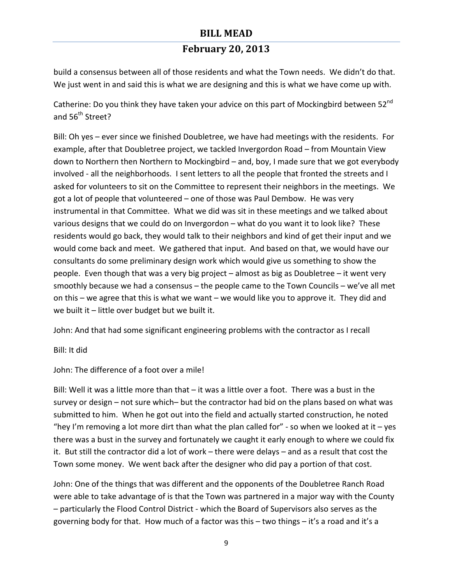# **February 20, 2013**

build a consensus between all of those residents and what the Town needs. We didn't do that. We just went in and said this is what we are designing and this is what we have come up with.

Catherine: Do you think they have taken your advice on this part of Mockingbird between 52<sup>nd</sup> and 56<sup>th</sup> Street?

Bill: Oh yes – ever since we finished Doubletree, we have had meetings with the residents. For example, after that Doubletree project, we tackled Invergordon Road – from Mountain View down to Northern then Northern to Mockingbird – and, boy, I made sure that we got everybody involved - all the neighborhoods. I sent letters to all the people that fronted the streets and I asked for volunteers to sit on the Committee to represent their neighbors in the meetings. We got a lot of people that volunteered - one of those was Paul Dembow. He was very instrumental in that Committee. What we did was sit in these meetings and we talked about various designs that we could do on Invergordon – what do you want it to look like? These residents would go back, they would talk to their neighbors and kind of get their input and we would come back and meet. We gathered that input. And based on that, we would have our consultants do some preliminary design work which would give us something to show the people. Even though that was a very big project  $-$  almost as big as Doubletree  $-$  it went very smoothly because we had a consensus - the people came to the Town Councils - we've all met on this – we agree that this is what we want – we would like you to approve it. They did and we built it  $-$  little over budget but we built it.

John: And that had some significant engineering problems with the contractor as I recall

Bill: It did

John: The difference of a foot over a mile!

Bill: Well it was a little more than that  $-$  it was a little over a foot. There was a bust in the survey or design  $-$  not sure which– but the contractor had bid on the plans based on what was submitted to him. When he got out into the field and actually started construction, he noted "hey I'm removing a lot more dirt than what the plan called for" - so when we looked at it – yes there was a bust in the survey and fortunately we caught it early enough to where we could fix it. But still the contractor did a lot of work – there were delays – and as a result that cost the Town some money. We went back after the designer who did pay a portion of that cost.

John: One of the things that was different and the opponents of the Doubletree Ranch Road were able to take advantage of is that the Town was partnered in a major way with the County - particularly the Flood Control District - which the Board of Supervisors also serves as the governing body for that. How much of a factor was this  $-$  two things  $-$  it's a road and it's a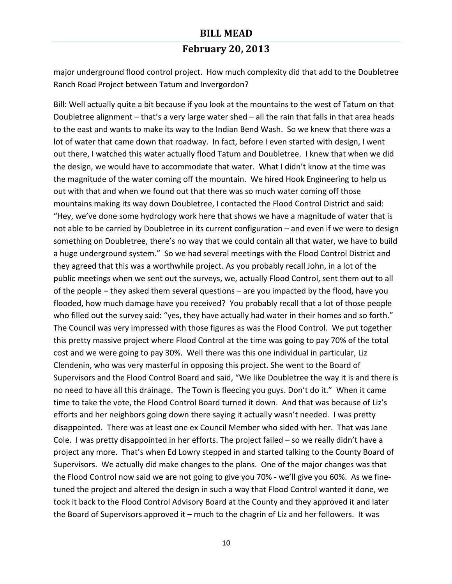major underground flood control project. How much complexity did that add to the Doubletree Ranch Road Project between Tatum and Invergordon?

Bill: Well actually quite a bit because if you look at the mountains to the west of Tatum on that Doubletree alignment  $-$  that's a very large water shed  $-$  all the rain that falls in that area heads to the east and wants to make its way to the Indian Bend Wash. So we knew that there was a lot of water that came down that roadway. In fact, before I even started with design, I went out there, I watched this water actually flood Tatum and Doubletree. I knew that when we did the design, we would have to accommodate that water. What I didn't know at the time was the magnitude of the water coming off the mountain. We hired Hook Engineering to help us out with that and when we found out that there was so much water coming off those mountains making its way down Doubletree, I contacted the Flood Control District and said: "Hey, we've done some hydrology work here that shows we have a magnitude of water that is not able to be carried by Doubletree in its current configuration – and even if we were to design something on Doubletree, there's no way that we could contain all that water, we have to build a huge underground system." So we had several meetings with the Flood Control District and they agreed that this was a worthwhile project. As you probably recall John, in a lot of the public meetings when we sent out the surveys, we, actually Flood Control, sent them out to all of the people  $-$  they asked them several questions  $-$  are you impacted by the flood, have you flooded, how much damage have you received? You probably recall that a lot of those people who filled out the survey said: "yes, they have actually had water in their homes and so forth." The Council was very impressed with those figures as was the Flood Control. We put together this pretty massive project where Flood Control at the time was going to pay 70% of the total cost and we were going to pay 30%. Well there was this one individual in particular, Liz Clendenin, who was very masterful in opposing this project. She went to the Board of Supervisors and the Flood Control Board and said, "We like Doubletree the way it is and there is no need to have all this drainage. The Town is fleecing you guys. Don't do it." When it came time to take the vote, the Flood Control Board turned it down. And that was because of Liz's efforts and her neighbors going down there saying it actually wasn't needed. I was pretty disappointed. There was at least one ex Council Member who sided with her. That was Jane Cole. I was pretty disappointed in her efforts. The project failed  $-$  so we really didn't have a project any more. That's when Ed Lowry stepped in and started talking to the County Board of Supervisors. We actually did make changes to the plans. One of the major changes was that the Flood Control now said we are not going to give you 70% - we'll give you 60%. As we finetuned the project and altered the design in such a way that Flood Control wanted it done, we took it back to the Flood Control Advisory Board at the County and they approved it and later the Board of Supervisors approved it  $-$  much to the chagrin of Liz and her followers. It was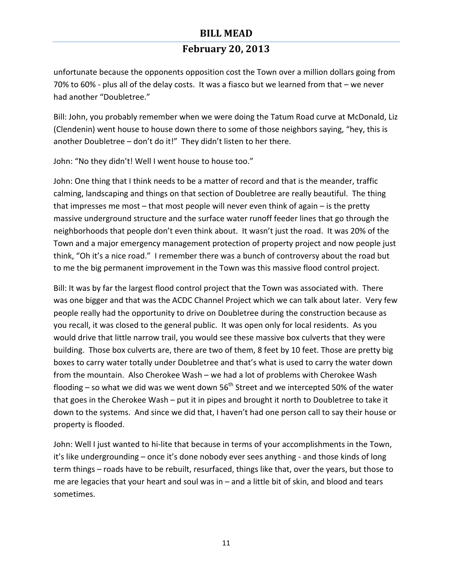## **February 20, 2013**

unfortunate because the opponents opposition cost the Town over a million dollars going from 70% to 60% - plus all of the delay costs. It was a fiasco but we learned from that  $-$  we never had another "Doubletree."

Bill: John, you probably remember when we were doing the Tatum Road curve at McDonald, Liz (Clendenin) went house to house down there to some of those neighbors saying, "hey, this is another Doubletree  $-$  don't do it!" They didn't listen to her there.

John: "No they didn't! Well I went house to house too."

John: One thing that I think needs to be a matter of record and that is the meander, traffic calming, landscaping and things on that section of Doubletree are really beautiful. The thing that impresses me most  $-$  that most people will never even think of again  $-$  is the pretty massive underground structure and the surface water runoff feeder lines that go through the neighborhoods that people don't even think about. It wasn't just the road. It was 20% of the Town and a major emergency management protection of property project and now people just think, "Oh it's a nice road." I remember there was a bunch of controversy about the road but to me the big permanent improvement in the Town was this massive flood control project.

Bill: It was by far the largest flood control project that the Town was associated with. There was one bigger and that was the ACDC Channel Project which we can talk about later. Very few people really had the opportunity to drive on Doubletree during the construction because as you recall, it was closed to the general public. It was open only for local residents. As you would drive that little narrow trail, you would see these massive box culverts that they were building. Those box culverts are, there are two of them, 8 feet by 10 feet. Those are pretty big boxes to carry water totally under Doubletree and that's what is used to carry the water down from the mountain. Also Cherokee Wash – we had a lot of problems with Cherokee Wash flooding – so what we did was we went down  $56<sup>th</sup>$  Street and we intercepted 50% of the water that goes in the Cherokee Wash – put it in pipes and brought it north to Doubletree to take it down to the systems. And since we did that, I haven't had one person call to say their house or property is flooded.

John: Well I just wanted to hi-lite that because in terms of your accomplishments in the Town, it's like undergrounding – once it's done nobody ever sees anything - and those kinds of long term things - roads have to be rebuilt, resurfaced, things like that, over the years, but those to me are legacies that your heart and soul was in  $-$  and a little bit of skin, and blood and tears sometimes.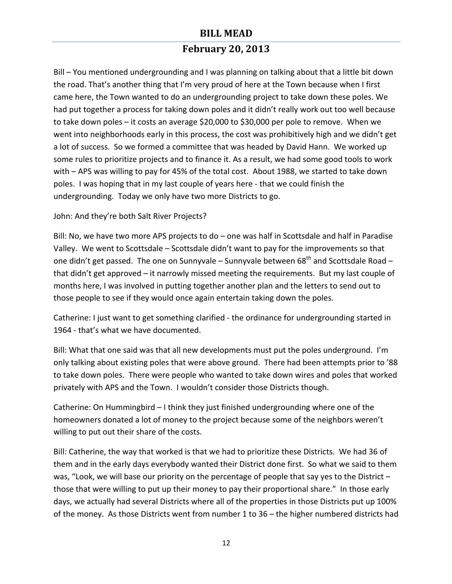# **February 20, 2013**

Bill – You mentioned undergrounding and I was planning on talking about that a little bit down the road. That's another thing that I'm very proud of here at the Town because when I first came here, the Town wanted to do an undergrounding project to take down these poles. We had put together a process for taking down poles and it didn't really work out too well because to take down poles  $-$  it costs an average \$20,000 to \$30,000 per pole to remove. When we went into neighborhoods early in this process, the cost was prohibitively high and we didn't get a lot of success. So we formed a committee that was headed by David Hann. We worked up some rules to prioritize projects and to finance it. As a result, we had some good tools to work with – APS was willing to pay for 45% of the total cost. About 1988, we started to take down poles. I was hoping that in my last couple of years here - that we could finish the undergrounding. Today we only have two more Districts to go.

#### John: And they're both Salt River Projects?

Bill: No, we have two more APS projects to  $do$  – one was half in Scottsdale and half in Paradise Valley. We went to Scottsdale - Scottsdale didn't want to pay for the improvements so that one didn't get passed. The one on Sunnyvale – Sunnyvale between  $68<sup>th</sup>$  and Scottsdale Road – that didn't get approved  $-$  it narrowly missed meeting the requirements. But my last couple of months here, I was involved in putting together another plan and the letters to send out to those people to see if they would once again entertain taking down the poles.

Catherine: I just want to get something clarified - the ordinance for undergrounding started in 1964 - that's what we have documented.

Bill: What that one said was that all new developments must put the poles underground. I'm only talking about existing poles that were above ground. There had been attempts prior to '88 to take down poles. There were people who wanted to take down wires and poles that worked privately with APS and the Town. I wouldn't consider those Districts though.

Catherine: On Hummingbird – I think they just finished undergrounding where one of the homeowners donated a lot of money to the project because some of the neighbors weren't willing to put out their share of the costs.

Bill: Catherine, the way that worked is that we had to prioritize these Districts. We had 36 of them and in the early days everybody wanted their District done first. So what we said to them was, "Look, we will base our priority on the percentage of people that say yes to the District  $$ those that were willing to put up their money to pay their proportional share." In those early days, we actually had several Districts where all of the properties in those Districts put up 100% of the money. As those Districts went from number 1 to 36 – the higher numbered districts had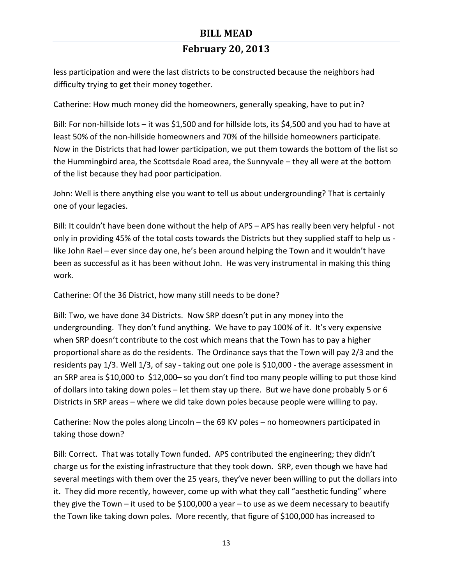less participation and were the last districts to be constructed because the neighbors had difficulty trying to get their money together.

Catherine: How much money did the homeowners, generally speaking, have to put in?

Bill: For non-hillside lots – it was \$1,500 and for hillside lots, its \$4,500 and you had to have at least 50% of the non-hillside homeowners and 70% of the hillside homeowners participate. Now in the Districts that had lower participation, we put them towards the bottom of the list so the Hummingbird area, the Scottsdale Road area, the Sunnyvale – they all were at the bottom of the list because they had poor participation.

John: Well is there anything else you want to tell us about undergrounding? That is certainly one of your legacies.

Bill: It couldn't have been done without the help of APS – APS has really been very helpful - not only in providing 45% of the total costs towards the Districts but they supplied staff to help us like John Rael – ever since day one, he's been around helping the Town and it wouldn't have been as successful as it has been without John. He was very instrumental in making this thing work.

Catherine: Of the 36 District, how many still needs to be done?

Bill: Two, we have done 34 Districts. Now SRP doesn't put in any money into the undergrounding. They don't fund anything. We have to pay 100% of it. It's very expensive when SRP doesn't contribute to the cost which means that the Town has to pay a higher proportional share as do the residents. The Ordinance says that the Town will pay 2/3 and the residents pay 1/3. Well 1/3, of say - taking out one pole is \$10,000 - the average assessment in an SRP area is \$10,000 to \$12,000- so you don't find too many people willing to put those kind of dollars into taking down poles – let them stay up there. But we have done probably 5 or 6 Districts in SRP areas – where we did take down poles because people were willing to pay.

Catherine: Now the poles along Lincoln – the 69 KV poles – no homeowners participated in taking those down?

Bill: Correct. That was totally Town funded. APS contributed the engineering; they didn't charge us for the existing infrastructure that they took down. SRP, even though we have had several meetings with them over the 25 years, they've never been willing to put the dollars into it. They did more recently, however, come up with what they call "aesthetic funding" where they give the Town – it used to be \$100,000 a year – to use as we deem necessary to beautify the Town like taking down poles. More recently, that figure of \$100,000 has increased to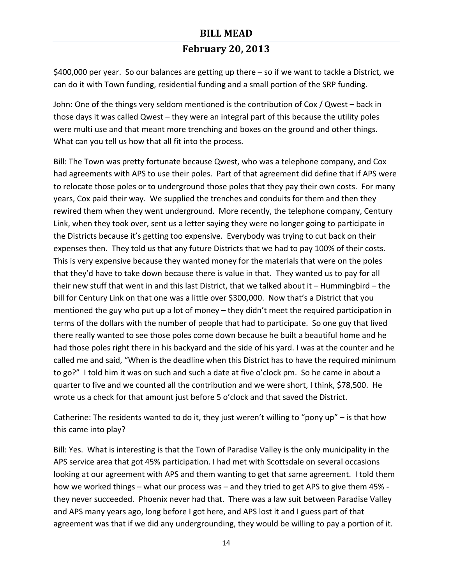### **February 20, 2013**

\$400,000 per year. So our balances are getting up there – so if we want to tackle a District, we can do it with Town funding, residential funding and a small portion of the SRP funding.

John: One of the things very seldom mentioned is the contribution of Cox / Qwest – back in those days it was called Qwest  $-$  they were an integral part of this because the utility poles were multi use and that meant more trenching and boxes on the ground and other things. What can you tell us how that all fit into the process.

Bill: The Town was pretty fortunate because Qwest, who was a telephone company, and Cox had agreements with APS to use their poles. Part of that agreement did define that if APS were to relocate those poles or to underground those poles that they pay their own costs. For many years, Cox paid their way. We supplied the trenches and conduits for them and then they rewired them when they went underground. More recently, the telephone company, Century Link, when they took over, sent us a letter saying they were no longer going to participate in the Districts because it's getting too expensive. Everybody was trying to cut back on their expenses then. They told us that any future Districts that we had to pay 100% of their costs. This is very expensive because they wanted money for the materials that were on the poles that they'd have to take down because there is value in that. They wanted us to pay for all their new stuff that went in and this last District, that we talked about it  $-$  Hummingbird  $-$  the bill for Century Link on that one was a little over \$300,000. Now that's a District that you mentioned the guy who put up a lot of money  $-$  they didn't meet the required participation in terms of the dollars with the number of people that had to participate. So one guy that lived there really wanted to see those poles come down because he built a beautiful home and he had those poles right there in his backyard and the side of his yard. I was at the counter and he called me and said, "When is the deadline when this District has to have the required minimum to go?" I told him it was on such and such a date at five o'clock pm. So he came in about a quarter to five and we counted all the contribution and we were short, I think, \$78,500. He wrote us a check for that amount just before 5 o'clock and that saved the District.

Catherine: The residents wanted to do it, they just weren't willing to "pony up" – is that how this came into play?

Bill: Yes. What is interesting is that the Town of Paradise Valley is the only municipality in the APS service area that got 45% participation. I had met with Scottsdale on several occasions looking at our agreement with APS and them wanting to get that same agreement. I told them how we worked things – what our process was – and they tried to get APS to give them 45% they never succeeded. Phoenix never had that. There was a law suit between Paradise Valley and APS many years ago, long before I got here, and APS lost it and I guess part of that agreement was that if we did any undergrounding, they would be willing to pay a portion of it.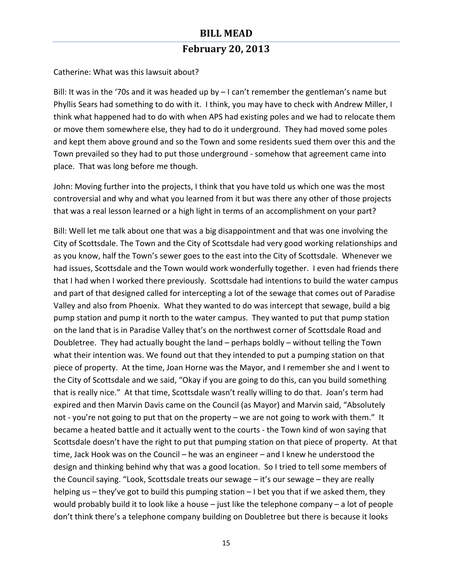Catherine: What was this lawsuit about?

Bill: It was in the '70s and it was headed up by  $-1$  can't remember the gentleman's name but Phyllis Sears had something to do with it. I think, you may have to check with Andrew Miller, I think what happened had to do with when APS had existing poles and we had to relocate them or move them somewhere else, they had to do it underground. They had moved some poles and kept them above ground and so the Town and some residents sued them over this and the Town prevailed so they had to put those underground - somehow that agreement came into place. That was long before me though.

John: Moving further into the projects, I think that you have told us which one was the most controversial and why and what you learned from it but was there any other of those projects that was a real lesson learned or a high light in terms of an accomplishment on your part?

Bill: Well let me talk about one that was a big disappointment and that was one involving the City of Scottsdale. The Town and the City of Scottsdale had very good working relationships and as you know, half the Town's sewer goes to the east into the City of Scottsdale. Whenever we had issues, Scottsdale and the Town would work wonderfully together. I even had friends there that I had when I worked there previously. Scottsdale had intentions to build the water campus and part of that designed called for intercepting a lot of the sewage that comes out of Paradise Valley and also from Phoenix. What they wanted to do was intercept that sewage, build a big pump station and pump it north to the water campus. They wanted to put that pump station on the land that is in Paradise Valley that's on the northwest corner of Scottsdale Road and Doubletree. They had actually bought the land  $-$  perhaps boldly  $-$  without telling the Town what their intention was. We found out that they intended to put a pumping station on that piece of property. At the time, Joan Horne was the Mayor, and I remember she and I went to the City of Scottsdale and we said, "Okay if you are going to do this, can you build something that is really nice." At that time, Scottsdale wasn't really willing to do that. Joan's term had expired and then Marvin Davis came on the Council (as Mayor) and Marvin said, "Absolutely not - you're not going to put that on the property – we are not going to work with them." It became a heated battle and it actually went to the courts - the Town kind of won saying that Scottsdale doesn't have the right to put that pumping station on that piece of property. At that time, Jack Hook was on the Council – he was an engineer – and I knew he understood the design and thinking behind why that was a good location. So I tried to tell some members of the Council saying. "Look, Scottsdale treats our sewage  $-$  it's our sewage  $-$  they are really helping us – they've got to build this pumping station – I bet you that if we asked them, they would probably build it to look like a house  $-$  just like the telephone company  $-$  a lot of people don't think there's a telephone company building on Doubletree but there is because it looks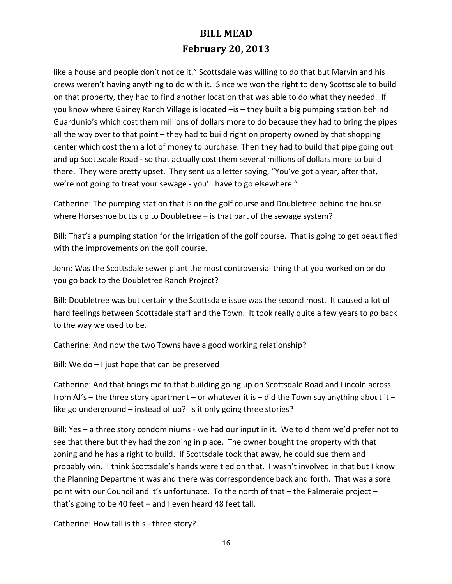# **February 20, 2013**

like a house and people don't notice it." Scottsdale was willing to do that but Marvin and his crews weren't having anything to do with it. Since we won the right to deny Scottsdale to build on that property, they had to find another location that was able to do what they needed. If you know where Gainey Ranch Village is located -is - they built a big pumping station behind Guardunio's which cost them millions of dollars more to do because they had to bring the pipes all the way over to that point  $-$  they had to build right on property owned by that shopping center which cost them a lot of money to purchase. Then they had to build that pipe going out and up Scottsdale Road - so that actually cost them several millions of dollars more to build there. They were pretty upset. They sent us a letter saying, "You've got a year, after that, we're not going to treat your sewage - you'll have to go elsewhere."

Catherine: The pumping station that is on the golf course and Doubletree behind the house where Horseshoe butts up to Doubletree  $-$  is that part of the sewage system?

Bill: That's a pumping station for the irrigation of the golf course. That is going to get beautified with the improvements on the golf course.

John: Was the Scottsdale sewer plant the most controversial thing that you worked on or do you go back to the Doubletree Ranch Project?

Bill: Doubletree was but certainly the Scottsdale issue was the second most. It caused a lot of hard feelings between Scottsdale staff and the Town. It took really quite a few years to go back to the way we used to be.

Catherine: And now the two Towns have a good working relationship?

Bill: We do  $-1$  just hope that can be preserved

Catherine: And that brings me to that building going up on Scottsdale Road and Lincoln across from AJ's – the three story apartment – or whatever it is – did the Town say anything about it – like go underground – instead of up? Is it only going three stories?

Bill: Yes - a three story condominiums - we had our input in it. We told them we'd prefer not to see that there but they had the zoning in place. The owner bought the property with that zoning and he has a right to build. If Scottsdale took that away, he could sue them and probably win. I think Scottsdale's hands were tied on that. I wasn't involved in that but I know the Planning Department was and there was correspondence back and forth. That was a sore point with our Council and it's unfortunate. To the north of that  $-$  the Palmeraie project  $$ that's going to be 40 feet  $-$  and I even heard 48 feet tall.

Catherine: How tall is this - three story?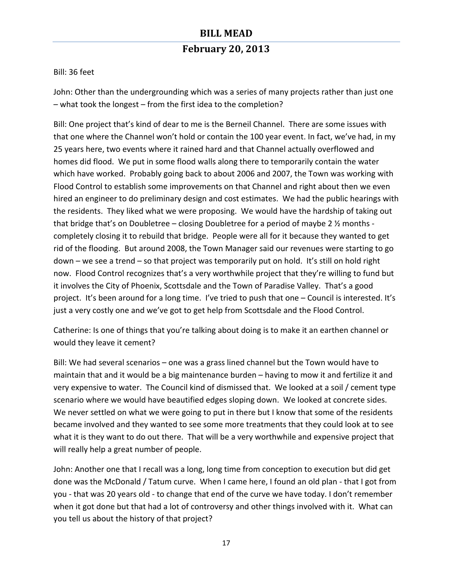Bill: 36 feet

John: Other than the undergrounding which was a series of many projects rather than just one  $-$  what took the longest  $-$  from the first idea to the completion?

Bill: One project that's kind of dear to me is the Berneil Channel. There are some issues with that one where the Channel won't hold or contain the 100 year event. In fact, we've had, in my 25 years here, two events where it rained hard and that Channel actually overflowed and homes did flood. We put in some flood walls along there to temporarily contain the water which have worked. Probably going back to about 2006 and 2007, the Town was working with Flood Control to establish some improvements on that Channel and right about then we even hired an engineer to do preliminary design and cost estimates. We had the public hearings with the residents. They liked what we were proposing. We would have the hardship of taking out that bridge that's on Doubletree – closing Doubletree for a period of maybe 2  $\frac{1}{2}$  months completely closing it to rebuild that bridge. People were all for it because they wanted to get rid of the flooding. But around 2008, the Town Manager said our revenues were starting to go  $down -$  we see a trend  $-$  so that project was temporarily put on hold. It's still on hold right now. Flood Control recognizes that's a very worthwhile project that they're willing to fund but it involves the City of Phoenix, Scottsdale and the Town of Paradise Valley. That's a good project. It's been around for a long time. I've tried to push that one - Council is interested. It's just a very costly one and we've got to get help from Scottsdale and the Flood Control.

Catherine: Is one of things that you're talking about doing is to make it an earthen channel or would they leave it cement?

Bill: We had several scenarios  $-$  one was a grass lined channel but the Town would have to maintain that and it would be a big maintenance burden – having to mow it and fertilize it and very expensive to water. The Council kind of dismissed that. We looked at a soil / cement type scenario where we would have beautified edges sloping down. We looked at concrete sides. We never settled on what we were going to put in there but I know that some of the residents became involved and they wanted to see some more treatments that they could look at to see what it is they want to do out there. That will be a very worthwhile and expensive project that will really help a great number of people.

John: Another one that I recall was a long, long time from conception to execution but did get done was the McDonald / Tatum curve. When I came here, I found an old plan - that I got from you - that was 20 years old - to change that end of the curve we have today. I don't remember when it got done but that had a lot of controversy and other things involved with it. What can you tell us about the history of that project?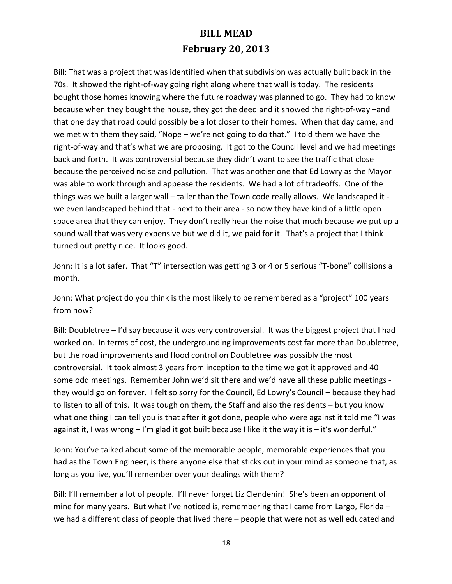# **February 20, 2013**

Bill: That was a project that was identified when that subdivision was actually built back in the 70s. It showed the right-of-way going right along where that wall is today. The residents bought those homes knowing where the future roadway was planned to go. They had to know because when they bought the house, they got the deed and it showed the right-of-way -and that one day that road could possibly be a lot closer to their homes. When that day came, and we met with them they said, "Nope – we're not going to do that." I told them we have the right-of-way and that's what we are proposing. It got to the Council level and we had meetings back and forth. It was controversial because they didn't want to see the traffic that close because the perceived noise and pollution. That was another one that Ed Lowry as the Mayor was able to work through and appease the residents. We had a lot of tradeoffs. One of the things was we built a larger wall – taller than the Town code really allows. We landscaped it we even landscaped behind that - next to their area - so now they have kind of a little open space area that they can enjoy. They don't really hear the noise that much because we put up a sound wall that was very expensive but we did it, we paid for it. That's a project that I think turned out pretty nice. It looks good.

John: It is a lot safer. That "T" intersection was getting 3 or 4 or 5 serious "T-bone" collisions a month.

John: What project do you think is the most likely to be remembered as a "project" 100 years from now?

Bill: Doubletree - I'd say because it was very controversial. It was the biggest project that I had worked on. In terms of cost, the undergrounding improvements cost far more than Doubletree, but the road improvements and flood control on Doubletree was possibly the most controversial. It took almost 3 years from inception to the time we got it approved and 40 some odd meetings. Remember John we'd sit there and we'd have all these public meetings they would go on forever. I felt so sorry for the Council, Ed Lowry's Council - because they had to listen to all of this. It was tough on them, the Staff and also the residents – but you know what one thing I can tell you is that after it got done, people who were against it told me "I was against it, I was wrong  $-1$ 'm glad it got built because I like it the way it is  $-$  it's wonderful."

John: You've talked about some of the memorable people, memorable experiences that you had as the Town Engineer, is there anyone else that sticks out in your mind as someone that, as long as you live, you'll remember over your dealings with them?

Bill: I'll remember a lot of people. I'll never forget Liz Clendenin! She's been an opponent of mine for many years. But what I've noticed is, remembering that I came from Largo, Florida  $$ we had a different class of people that lived there – people that were not as well educated and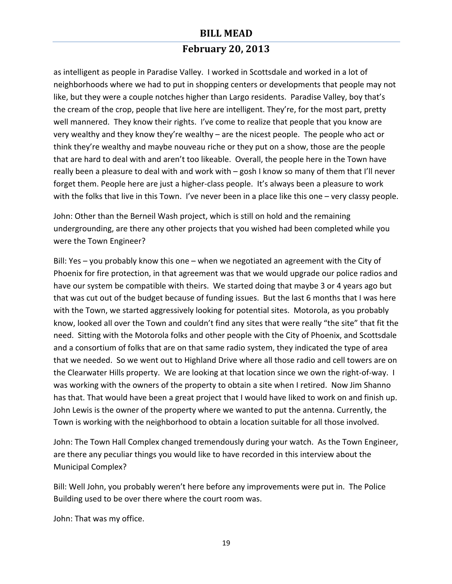## **February 20, 2013**

as intelligent as people in Paradise Valley. I worked in Scottsdale and worked in a lot of neighborhoods where we had to put in shopping centers or developments that people may not like, but they were a couple notches higher than Largo residents. Paradise Valley, boy that's the cream of the crop, people that live here are intelligent. They're, for the most part, pretty well mannered. They know their rights. I've come to realize that people that you know are very wealthy and they know they're wealthy  $-$  are the nicest people. The people who act or think they're wealthy and maybe nouveau riche or they put on a show, those are the people that are hard to deal with and aren't too likeable. Overall, the people here in the Town have really been a pleasure to deal with and work with – gosh I know so many of them that I'll never forget them. People here are just a higher-class people. It's always been a pleasure to work with the folks that live in this Town. I've never been in a place like this one – very classy people.

John: Other than the Berneil Wash project, which is still on hold and the remaining undergrounding, are there any other projects that you wished had been completed while you were the Town Engineer?

Bill: Yes  $-$  you probably know this one  $-$  when we negotiated an agreement with the City of Phoenix for fire protection, in that agreement was that we would upgrade our police radios and have our system be compatible with theirs. We started doing that maybe 3 or 4 years ago but that was cut out of the budget because of funding issues. But the last 6 months that I was here with the Town, we started aggressively looking for potential sites. Motorola, as you probably know, looked all over the Town and couldn't find any sites that were really "the site" that fit the need. Sitting with the Motorola folks and other people with the City of Phoenix, and Scottsdale and a consortium of folks that are on that same radio system, they indicated the type of area that we needed. So we went out to Highland Drive where all those radio and cell towers are on the Clearwater Hills property. We are looking at that location since we own the right-of-way. I was working with the owners of the property to obtain a site when I retired. Now Jim Shanno has that. That would have been a great project that I would have liked to work on and finish up. John Lewis is the owner of the property where we wanted to put the antenna. Currently, the Town is working with the neighborhood to obtain a location suitable for all those involved.

John: The Town Hall Complex changed tremendously during your watch. As the Town Engineer, are there any peculiar things you would like to have recorded in this interview about the Municipal Complex?

Bill: Well John, you probably weren't here before any improvements were put in. The Police Building used to be over there where the court room was.

John: That was my office.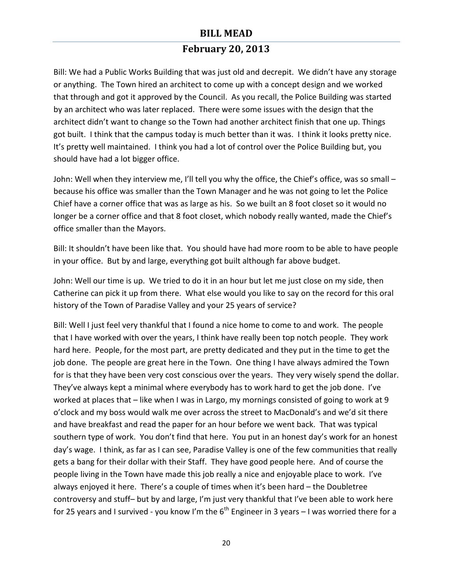## **February 20, 2013**

Bill: We had a Public Works Building that was just old and decrepit. We didn't have any storage or anything. The Town hired an architect to come up with a concept design and we worked that through and got it approved by the Council. As you recall, the Police Building was started by an architect who was later replaced. There were some issues with the design that the architect didn't want to change so the Town had another architect finish that one up. Things got built. I think that the campus today is much better than it was. I think it looks pretty nice. It's pretty well maintained. I think you had a lot of control over the Police Building but, you should have had a lot bigger office.

John: Well when they interview me, I'll tell you why the office, the Chief's office, was so small – because his office was smaller than the Town Manager and he was not going to let the Police Chief have a corner office that was as large as his. So we built an 8 foot closet so it would no longer be a corner office and that 8 foot closet, which nobody really wanted, made the Chief's office smaller than the Mayors.

Bill: It shouldn't have been like that. You should have had more room to be able to have people in your office. But by and large, everything got built although far above budget.

John: Well our time is up. We tried to do it in an hour but let me just close on my side, then Catherine can pick it up from there. What else would you like to say on the record for this oral history of the Town of Paradise Valley and your 25 years of service?

Bill: Well I just feel very thankful that I found a nice home to come to and work. The people that I have worked with over the years, I think have really been top notch people. They work hard here. People, for the most part, are pretty dedicated and they put in the time to get the job done. The people are great here in the Town. One thing I have always admired the Town for is that they have been very cost conscious over the years. They very wisely spend the dollar. They've always kept a minimal where everybody has to work hard to get the job done. I've worked at places that – like when I was in Largo, my mornings consisted of going to work at 9 o'clock and my boss would walk me over across the street to MacDonald's and we'd sit there and have breakfast and read the paper for an hour before we went back. That was typical southern type of work. You don't find that here. You put in an honest day's work for an honest day's wage. I think, as far as I can see, Paradise Valley is one of the few communities that really gets a bang for their dollar with their Staff. They have good people here. And of course the people living in the Town have made this job really a nice and enjoyable place to work. I've always enjoyed it here. There's a couple of times when it's been hard – the Doubletree controversy and stuff- but by and large, I'm just very thankful that I've been able to work here for 25 years and I survived - you know I'm the  $6<sup>th</sup>$  Engineer in 3 years – I was worried there for a